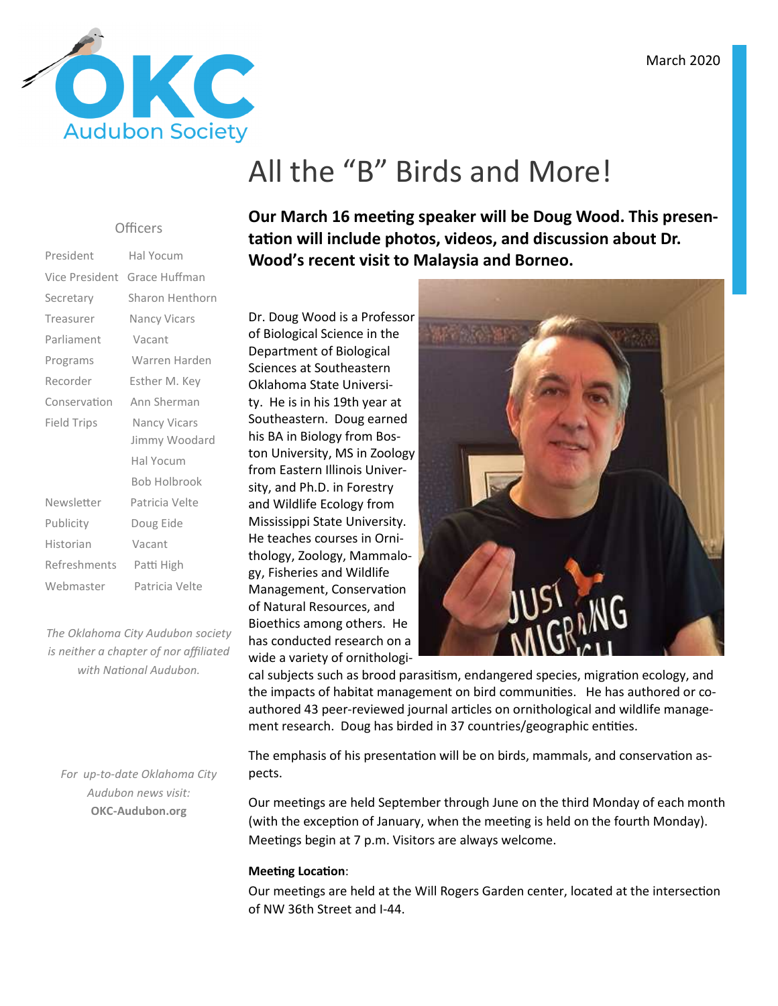

# All the "B" Birds and More!

#### **Officers**

| President      | Hal Yocum           |
|----------------|---------------------|
| Vice President | Grace Huffman       |
| Secretary      | Sharon Henthorn     |
| Treasurer      | <b>Nancy Vicars</b> |
| Parliament     | Vacant              |
| Programs       | Warren Harden       |
| Recorder       | Esther M. Key       |
| Conservation   | Ann Sherman         |
| Field Trips    | Nancy Vicars        |
|                | Jimmy Woodard       |
|                | Hal Yocum           |
|                | <b>Bob Holbrook</b> |
| Newsletter     | Patricia Velte      |
| Publicity      | Doug Eide           |
| Historian      | Vacant              |
| Refreshments   | Patti High          |
| Webmaster      | Patricia Velte      |
|                |                     |

*The Oklahoma City Audubon society is neither a chapter of nor affiliated*  with National Audubon.

*For up-to-date Oklahoma City Audubon news visit:* **OKC-Audubon.org** 

Our March 16 meeting speaker will be Doug Wood. This presentation will include photos, videos, and discussion about Dr. **Wood's recent visit to Malaysia and Borneo.** 

Dr. Doug Wood is a Professor of Biological Science in the Department of Biological Sciences at Southeastern Oklahoma State University. He is in his 19th year at Southeastern. Doug earned his BA in Biology from Boston University, MS in Zoology from Eastern Illinois University, and Ph.D. in Forestry and Wildlife Ecology from Mississippi State University. He teaches courses in Ornithology, Zoology, Mammalogy, Fisheries and Wildlife Management, Conservation of Natural Resources, and Bioethics among others. He has conducted research on a wide a variety of ornithologi-



cal subjects such as brood parasitism, endangered species, migration ecology, and the impacts of habitat management on bird communities. He has authored or coauthored 43 peer-reviewed journal articles on ornithological and wildlife management research. Doug has birded in 37 countries/geographic entities.

The emphasis of his presentation will be on birds, mammals, and conservation aspects.

Our meetings are held September through June on the third Monday of each month (with the exception of January, when the meeting is held on the fourth Monday). Meetings begin at 7 p.m. Visitors are always welcome.

#### **Meeting Location:**

Our meetings are held at the Will Rogers Garden center, located at the intersection of NW 36th Street and I-44.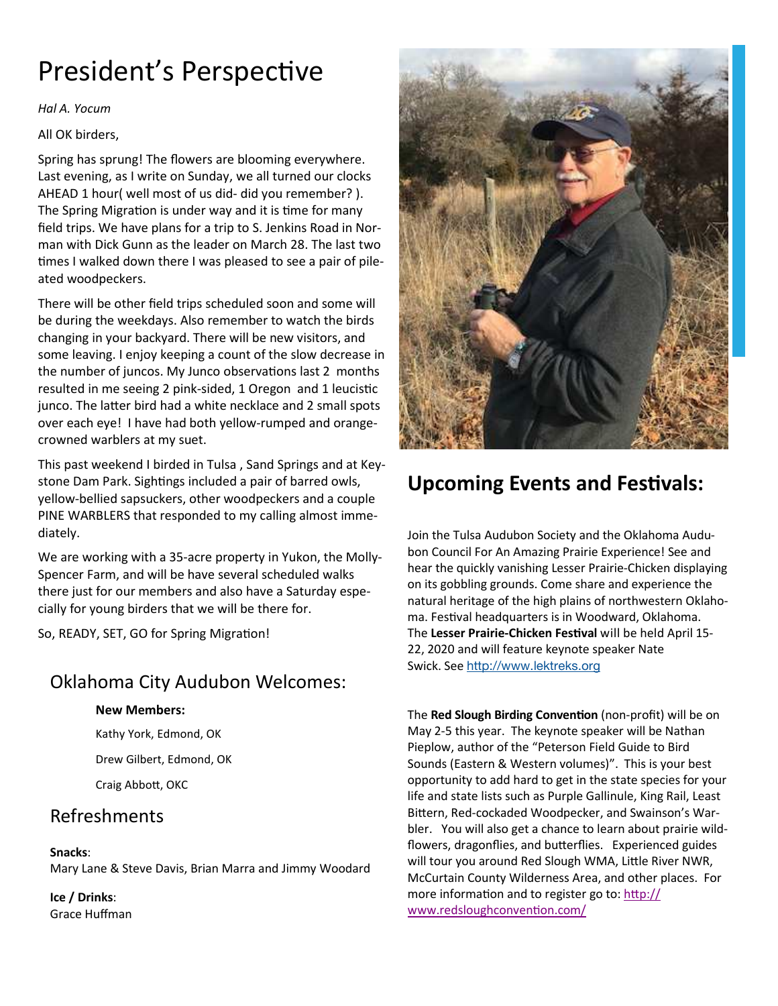# President's Perspective

*Hal A. Yocum* 

All OK birders,

Spring has sprung! The flowers are blooming everywhere. Last evening, as I write on Sunday, we all turned our clocks AHEAD 1 hour( well most of us did- did you remember? ). The Spring Migration is under way and it is time for many field trips. We have plans for a trip to S. Jenkins Road in Norman with Dick Gunn as the leader on March 28. The last two times I walked down there I was pleased to see a pair of pileated woodpeckers.

There will be other field trips scheduled soon and some will be during the weekdays. Also remember to watch the birds changing in your backyard. There will be new visitors, and some leaving. I enjoy keeping a count of the slow decrease in the number of juncos. My Junco observations last 2 months resulted in me seeing 2 pink-sided, 1 Oregon and 1 leucistic junco. The latter bird had a white necklace and 2 small spots over each eye! I have had both yellow-rumped and orangecrowned warblers at my suet.

This past weekend I birded in Tulsa , Sand Springs and at Keystone Dam Park. Sightings included a pair of barred owls, yellow-bellied sapsuckers, other woodpeckers and a couple PINE WARBLERS that responded to my calling almost immediately.

We are working with a 35-acre property in Yukon, the Molly-Spencer Farm, and will be have several scheduled walks there just for our members and also have a Saturday especially for young birders that we will be there for.

So, READY, SET, GO for Spring Migration!

### Oklahoma City Audubon Welcomes:

#### **New Members:**

Kathy York, Edmond, OK Drew Gilbert, Edmond, OK

Craig Abbott, OKC

### Refreshments

#### **Snacks**:

Mary Lane & Steve Davis, Brian Marra and Jimmy Woodard

**Ice / Drinks**: Grace Huffman



## **Upcoming Events and Festivals:**

Join the Tulsa Audubon Society and the Oklahoma Audubon Council For An Amazing Prairie Experience! See and hear the quickly vanishing Lesser Prairie-Chicken displaying on its gobbling grounds. Come share and experience the natural heritage of the high plains of northwestern Oklahoma. Festival headquarters is in Woodward, Oklahoma. The Lesser Prairie-Chicken Festival will be held April 15-22, 2020 and will feature keynote speaker Nate Swick. See http://www.lektreks.org

The **Red Slough Birding Convention** (non-profit) will be on May 2-5 this year. The keynote speaker will be Nathan Pieplow, author of the "Peterson Field Guide to Bird Sounds (Eastern & Western volumes)". This is your best opportunity to add hard to get in the state species for your life and state lists such as Purple Gallinule, King Rail, Least Bittern, Red-cockaded Woodpecker, and Swainson's Warbler. You will also get a chance to learn about prairie wildflowers, dragonflies, and butterflies. Experienced guides will tour you around Red Slough WMA, Little River NWR, McCurtain County Wilderness Area, and other places. For more information and to register go to: http:// www.redsloughconvention.com/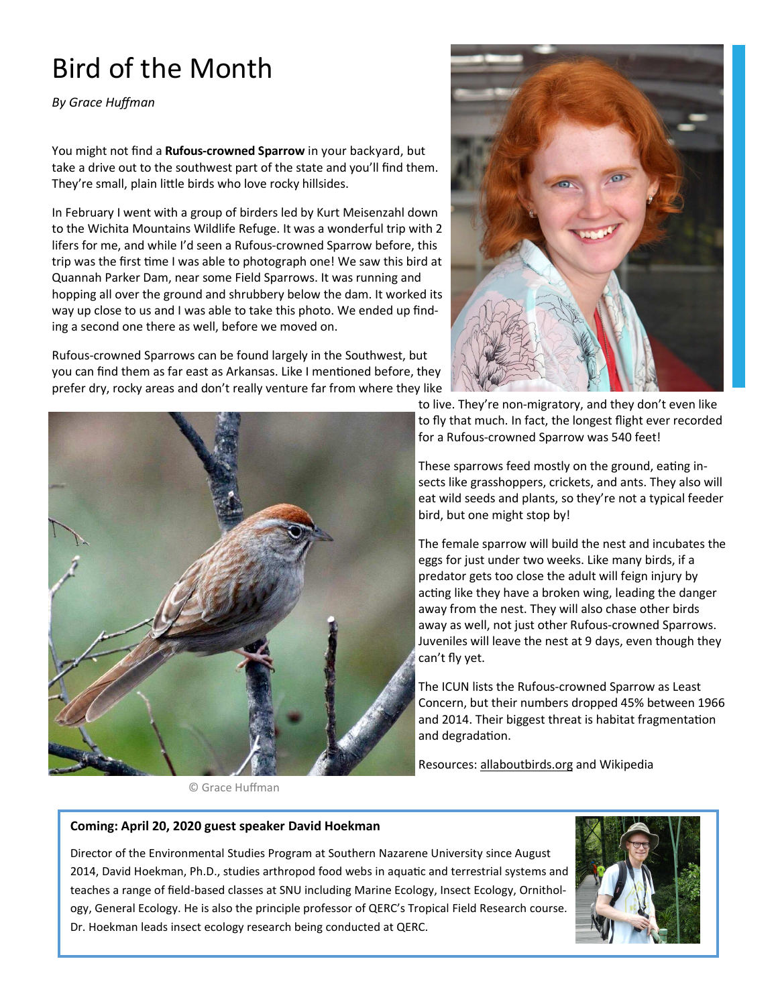# Bird of the Month

*By Grace Huffman* 

You might not find a **Rufous-crowned Sparrow** in your backyard, but take a drive out to the southwest part of the state and you'll find them. They're small, plain little birds who love rocky hillsides.

In February I went with a group of birders led by Kurt Meisenzahl down to the Wichita Mountains Wildlife Refuge. It was a wonderful trip with 2 lifers for me, and while I'd seen a Rufous-crowned Sparrow before, this trip was the first time I was able to photograph one! We saw this bird at Quannah Parker Dam, near some Field Sparrows. It was running and hopping all over the ground and shrubbery below the dam. It worked its way up close to us and I was able to take this photo. We ended up finding a second one there as well, before we moved on.

Rufous-crowned Sparrows can be found largely in the Southwest, but you can find them as far east as Arkansas. Like I mentioned before, they prefer dry, rocky areas and don't really venture far from where they like



© Grace Huffman



to live. They're non-migratory, and they don't even like to fly that much. In fact, the longest flight ever recorded for a Rufous-crowned Sparrow was 540 feet!

These sparrows feed mostly on the ground, eating insects like grasshoppers, crickets, and ants. They also will eat wild seeds and plants, so they're not a typical feeder bird, but one might stop by!

The female sparrow will build the nest and incubates the eggs for just under two weeks. Like many birds, if a predator gets too close the adult will feign injury by acting like they have a broken wing, leading the danger away from the nest. They will also chase other birds away as well, not just other Rufous-crowned Sparrows. Juveniles will leave the nest at 9 days, even though they can't fly yet.

The ICUN lists the Rufous-crowned Sparrow as Least Concern, but their numbers dropped 45% between 1966 and 2014. Their biggest threat is habitat fragmentation and degradation.

Resources: allaboutbirds.org and Wikipedia

#### **Coming: April 20, 2020 guest speaker David Hoekman**

Director of the Environmental Studies Program at Southern Nazarene University since August 2014, David Hoekman, Ph.D., studies arthropod food webs in aquatic and terrestrial systems and teaches a range of field-based classes at SNU including Marine Ecology, Insect Ecology, Ornithology, General Ecology. He is also the principle professor of QERC's Tropical Field Research course. Dr. Hoekman leads insect ecology research being conducted at QERC.

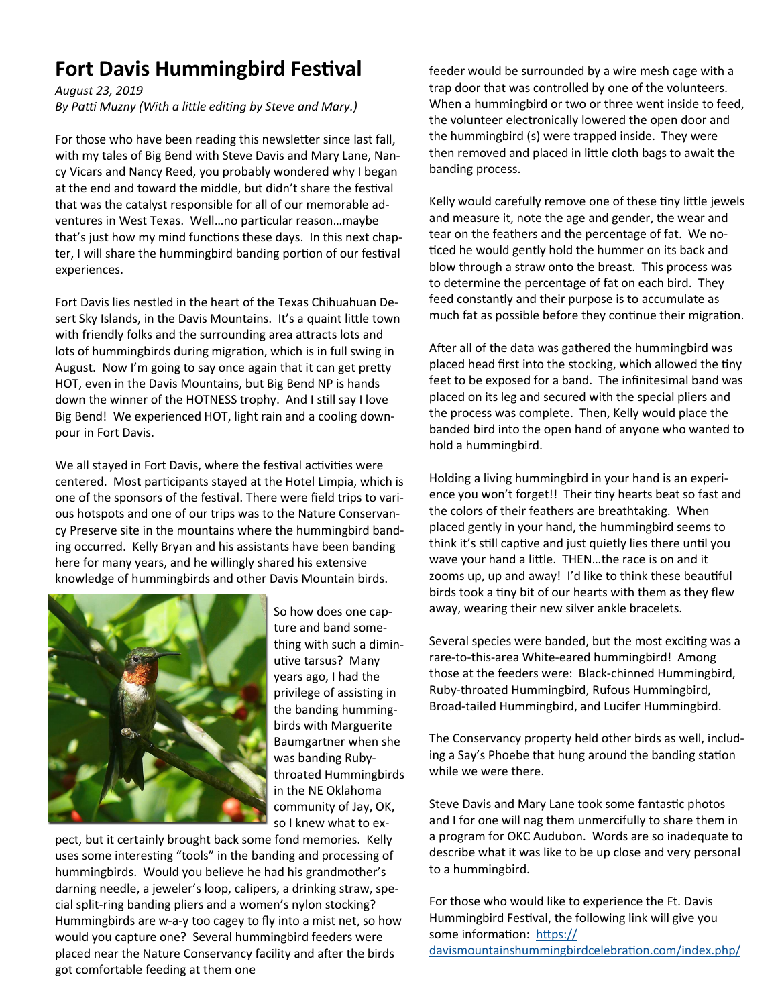## **Fort Davis Hummingbird Festival**

*August 23, 2019* 

By Patti Muzny (With a little editing by Steve and Mary.)

For those who have been reading this newsletter since last fall, with my tales of Big Bend with Steve Davis and Mary Lane, Nancy Vicars and Nancy Reed, you probably wondered why I began at the end and toward the middle, but didn't share the festival that was the catalyst responsible for all of our memorable adventures in West Texas. Well...no particular reason...maybe that's just how my mind functions these days. In this next chapter, I will share the hummingbird banding portion of our festival experiences.

Fort Davis lies nestled in the heart of the Texas Chihuahuan Desert Sky Islands, in the Davis Mountains. It's a quaint little town with friendly folks and the surrounding area attracts lots and lots of hummingbirds during migration, which is in full swing in August. Now I'm going to say once again that it can get pretty HOT, even in the Davis Mountains, but Big Bend NP is hands down the winner of the HOTNESS trophy. And I still say I love Big Bend! We experienced HOT, light rain and a cooling downpour in Fort Davis.

We all stayed in Fort Davis, where the festival activities were centered. Most participants stayed at the Hotel Limpia, which is one of the sponsors of the festival. There were field trips to various hotspots and one of our trips was to the Nature Conservancy Preserve site in the mountains where the hummingbird banding occurred. Kelly Bryan and his assistants have been banding here for many years, and he willingly shared his extensive knowledge of hummingbirds and other Davis Mountain birds.



So how does one capture and band something with such a diminutive tarsus? Many years ago, I had the privilege of assisting in the banding hummingbirds with Marguerite Baumgartner when she was banding Rubythroated Hummingbirds in the NE Oklahoma community of Jay, OK, so I knew what to ex-

pect, but it certainly brought back some fond memories. Kelly uses some interesting "tools" in the banding and processing of hummingbirds. Would you believe he had his grandmother's darning needle, a jeweler's loop, calipers, a drinking straw, special split-ring banding pliers and a women's nylon stocking? Hummingbirds are w-a-y too cagey to fly into a mist net, so how would you capture one? Several hummingbird feeders were placed near the Nature Conservancy facility and after the birds got comfortable feeding at them one

feeder would be surrounded by a wire mesh cage with a trap door that was controlled by one of the volunteers. When a hummingbird or two or three went inside to feed, the volunteer electronically lowered the open door and the hummingbird (s) were trapped inside. They were then removed and placed in little cloth bags to await the banding process.

Kelly would carefully remove one of these tiny little jewels and measure it, note the age and gender, the wear and tear on the feathers and the percentage of fat. We no ticed he would gently hold the hummer on its back and blow through a straw onto the breast. This process was to determine the percentage of fat on each bird. They feed constantly and their purpose is to accumulate as much fat as possible before they continue their migration.

After all of the data was gathered the hummingbird was placed head first into the stocking, which allowed the tiny feet to be exposed for a band. The infinitesimal band was placed on its leg and secured with the special pliers and the process was complete. Then, Kelly would place the banded bird into the open hand of anyone who wanted to hold a hummingbird.

Holding a living hummingbird in your hand is an experience you won't forget!! Their tiny hearts beat so fast and the colors of their feathers are breathtaking. When placed gently in your hand, the hummingbird seems to think it's still captive and just quietly lies there until you wave your hand a little. THEN...the race is on and it zooms up, up and away! I'd like to think these beautiful birds took a tiny bit of our hearts with them as they flew away, wearing their new silver ankle bracelets.

Several species were banded, but the most exciting was a rare-to-this-area White-eared hummingbird! Among those at the feeders were: Black-chinned Hummingbird, Ruby-throated Hummingbird, Rufous Hummingbird, Broad-tailed Hummingbird, and Lucifer Hummingbird.

The Conservancy property held other birds as well, including a Say's Phoebe that hung around the banding station while we were there.

Steve Davis and Mary Lane took some fantastic photos and I for one will nag them unmercifully to share them in a program for OKC Audubon. Words are so inadequate to describe what it was like to be up close and very personal to a hummingbird.

For those who would like to experience the Ft. Davis Hummingbird Festival, the following link will give you some information: https:// davismountainshummingbirdcelebration.com/index.php/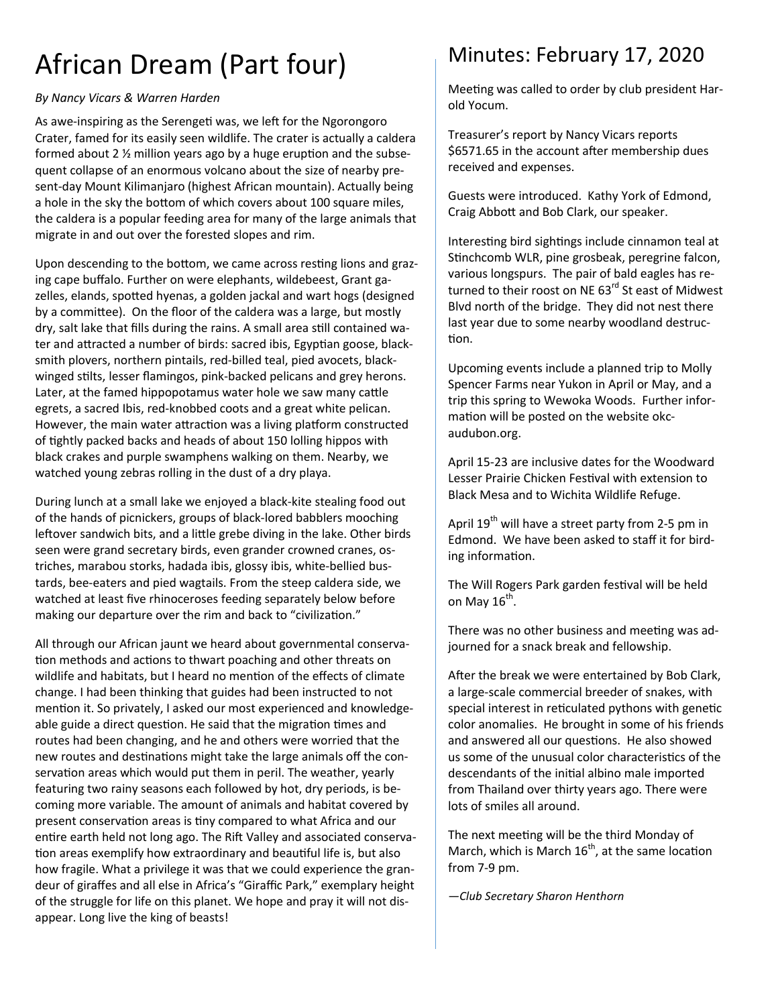# African Dream (Part four)

#### *By Nancy Vicars & Warren Harden*

As awe-inspiring as the Serengeti was, we left for the Ngorongoro Crater, famed for its easily seen wildlife. The crater is actually a caldera formed about 2  $\frac{1}{2}$  million years ago by a huge eruption and the subsequent collapse of an enormous volcano about the size of nearby present-day Mount Kilimanjaro (highest African mountain). Actually being a hole in the sky the bottom of which covers about 100 square miles, the caldera is a popular feeding area for many of the large animals that migrate in and out over the forested slopes and rim.

Upon descending to the bottom, we came across resting lions and grazing cape buffalo. Further on were elephants, wildebeest, Grant gazelles, elands, spotted hyenas, a golden jackal and wart hogs (designed by a committee). On the floor of the caldera was a large, but mostly dry, salt lake that fills during the rains. A small area still contained water and attracted a number of birds: sacred ibis, Egyptian goose, blacksmith plovers, northern pintails, red-billed teal, pied avocets, blackwinged stilts, lesser flamingos, pink-backed pelicans and grey herons. Later, at the famed hippopotamus water hole we saw many cattle egrets, a sacred Ibis, red-knobbed coots and a great white pelican. However, the main water attraction was a living platform constructed of tightly packed backs and heads of about 150 lolling hippos with black crakes and purple swamphens walking on them. Nearby, we watched young zebras rolling in the dust of a dry playa.

During lunch at a small lake we enjoyed a black-kite stealing food out of the hands of picnickers, groups of black-lored babblers mooching leftover sandwich bits, and a little grebe diving in the lake. Other birds seen were grand secretary birds, even grander crowned cranes, ostriches, marabou storks, hadada ibis, glossy ibis, white-bellied bustards, bee-eaters and pied wagtails. From the steep caldera side, we watched at least five rhinoceroses feeding separately below before making our departure over the rim and back to "civilization."

All through our African jaunt we heard about governmental conserva tion methods and actions to thwart poaching and other threats on wildlife and habitats, but I heard no mention of the effects of climate change. I had been thinking that guides had been instructed to not mention it. So privately, I asked our most experienced and knowledgeable guide a direct question. He said that the migration times and routes had been changing, and he and others were worried that the new routes and destinations might take the large animals off the conservation areas which would put them in peril. The weather, yearly featuring two rainy seasons each followed by hot, dry periods, is becoming more variable. The amount of animals and habitat covered by present conservation areas is tiny compared to what Africa and our entire earth held not long ago. The Rift Valley and associated conservation areas exemplify how extraordinary and beautiful life is, but also how fragile. What a privilege it was that we could experience the grandeur of giraffes and all else in Africa's "Giraffic Park," exemplary height of the struggle for life on this planet. We hope and pray it will not disappear. Long live the king of beasts!

## Minutes: February 17, 2020

Meeting was called to order by club president Harold Yocum.

Treasurer's report by Nancy Vicars reports \$6571.65 in the account after membership dues received and expenses.

Guests were introduced. Kathy York of Edmond, Craig Abbott and Bob Clark, our speaker.

Interesting bird sightings include cinnamon teal at Stinchcomb WLR, pine grosbeak, peregrine falcon, various longspurs. The pair of bald eagles has returned to their roost on NE 63<sup>rd</sup> St east of Midwest Blvd north of the bridge. They did not nest there last year due to some nearby woodland destruc tion.

Upcoming events include a planned trip to Molly Spencer Farms near Yukon in April or May, and a trip this spring to Wewoka Woods. Further information will be posted on the website okcaudubon.org.

April 15-23 are inclusive dates for the Woodward Lesser Prairie Chicken Festival with extension to Black Mesa and to Wichita Wildlife Refuge.

April 19<sup>th</sup> will have a street party from 2-5 pm in Edmond. We have been asked to staff it for birding information.

The Will Rogers Park garden festival will be held on May  $16^{\text{th}}$ .

There was no other business and meeting was adjourned for a snack break and fellowship.

After the break we were entertained by Bob Clark, a large-scale commercial breeder of snakes, with special interest in reticulated pythons with genetic color anomalies. He brought in some of his friends and answered all our questions. He also showed us some of the unusual color characteristics of the descendants of the initial albino male imported from Thailand over thirty years ago. There were lots of smiles all around.

The next meeting will be the third Monday of March, which is March  $16^{th}$ , at the same location from 7-9 pm.

*—Club Secretary Sharon Henthorn*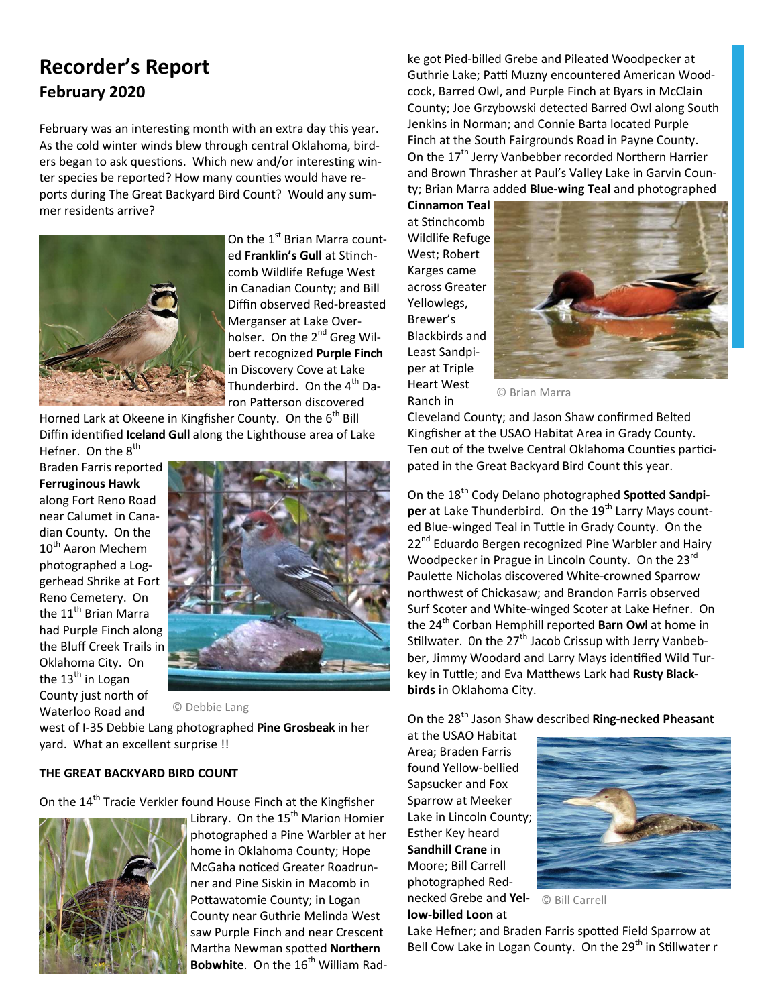### **Recorder's Report February 2020**

February was an interesting month with an extra day this year. As the cold winter winds blew through central Oklahoma, birders began to ask questions. Which new and/or interesting winter species be reported? How many counties would have reports during The Great Backyard Bird Count? Would any summer residents arrive?



On the 1<sup>st</sup> Brian Marra counted Franklin's Gull at Stinchcomb Wildlife Refuge West in Canadian County; and Bill Diffin observed Red-breasted Merganser at Lake Overholser. On the 2<sup>nd</sup> Greg Wilbert recognized **Purple Finch** in Discovery Cove at Lake Thunderbird. On the 4<sup>th</sup> Daron Patterson discovered

Horned Lark at Okeene in Kingfisher County. On the 6<sup>th</sup> Bill Diffin identified **Iceland Gull** along the Lighthouse area of Lake Hefner. On the  $8<sup>th</sup>$ 

Braden Farris reported **Ferruginous Hawk** along Fort Reno Road near Calumet in Canadian County. On the 10<sup>th</sup> Aaron Mechem photographed a Loggerhead Shrike at Fort Reno Cemetery. On the 11<sup>th</sup> Brian Marra had Purple Finch along the Bluff Creek Trails in Oklahoma City. On the  $13<sup>th</sup>$  in Logan County just north of Waterloo Road and



© Debbie Lang

west of I-35 Debbie Lang photographed **Pine Grosbeak** in her yard. What an excellent surprise !!

#### **THE GREAT BACKYARD BIRD COUNT**

On the 14<sup>th</sup> Tracie Verkler found House Finch at the Kingfisher



Library. On the 15<sup>th</sup> Marion Homier photographed a Pine Warbler at her home in Oklahoma County; Hope McGaha noticed Greater Roadrunner and Pine Siskin in Macomb in Pottawatomie County; in Logan County near Guthrie Melinda West saw Purple Finch and near Crescent **Martha Newman spotted Northern Bobwhite**. On the 16<sup>th</sup> William Radke got Pied-billed Grebe and Pileated Woodpecker at Guthrie Lake; Patti Muzny encountered American Woodcock, Barred Owl, and Purple Finch at Byars in McClain County; Joe Grzybowski detected Barred Owl along South Jenkins in Norman; and Connie Barta located Purple Finch at the South Fairgrounds Road in Payne County. On the 17<sup>th</sup> Jerry Vanbebber recorded Northern Harrier and Brown Thrasher at Paul's Valley Lake in Garvin County; Brian Marra added **Blue-wing Teal** and photographed

**Cinnamon Teal** at Stinchcomb Wildlife Refuge West; Robert Karges came across Greater Yellowlegs, Brewer's Blackbirds and Least Sandpiper at Triple Heart West Ranch in



© Brian Marra

Cleveland County; and Jason Shaw confirmed Belted Kingfisher at the USAO Habitat Area in Grady County. Ten out of the twelve Central Oklahoma Counties participated in the Great Backyard Bird Count this year.

On the 18<sup>th</sup> Cody Delano photographed Spotted Sandpi**per** at Lake Thunderbird. On the 19<sup>th</sup> Larry Mays counted Blue-winged Teal in Tuttle in Grady County. On the 22<sup>nd</sup> Eduardo Bergen recognized Pine Warbler and Hairy Woodpecker in Prague in Lincoln County. On the 23<sup>rd</sup> Paulette Nicholas discovered White-crowned Sparrow northwest of Chickasaw; and Brandon Farris observed Surf Scoter and White-winged Scoter at Lake Hefner. On the 24<sup>th</sup> Corban Hemphill reported **Barn Owl** at home in Stillwater. On the 27<sup>th</sup> Jacob Crissup with Jerry Vanbebber, Jimmy Woodard and Larry Mays identified Wild Turkey in Tuttle; and Eva Matthews Lark had Rusty Black**birds** in Oklahoma City.

On the 28th Jason Shaw described **Ring-necked Pheasant**

at the USAO Habitat Area; Braden Farris found Yellow-bellied Sapsucker and Fox Sparrow at Meeker Lake in Lincoln County; Esther Key heard **Sandhill Crane** in Moore; Bill Carrell photographed Rednecked Grebe and **Yellow-billed Loon** at



© Bill Carrell

Lake Hefner; and Braden Farris spotted Field Sparrow at Bell Cow Lake in Logan County. On the 29<sup>th</sup> in Stillwater r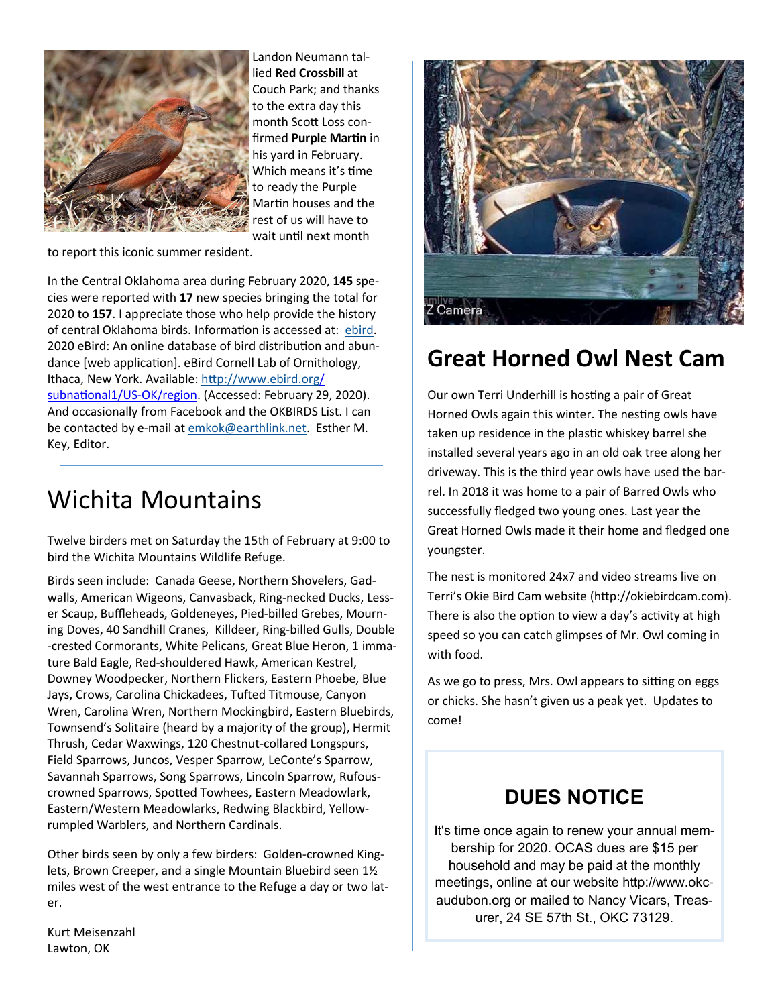

Landon Neumann tallied **Red Crossbill** at Couch Park; and thanks to the extra day this month Scott Loss confirmed **Purple Martin** in his yard in February. Which means it's time to ready the Purple Martin houses and the rest of us will have to wait until next month

to report this iconic summer resident.

In the Central Oklahoma area during February 2020, **145** species were reported with **17** new species bringing the total for 2020 to **157**. I appreciate those who help provide the history of central Oklahoma birds. Information is accessed at: ebird. 2020 eBird: An online database of bird distribution and abundance [web application]. eBird Cornell Lab of Ornithology, Ithaca, New York. Available: http://www.ebird.org/ subnational1/US-OK/region. (Accessed: February 29, 2020). And occasionally from Facebook and the OKBIRDS List. I can be contacted by e-mail at emkok@earthlink.net. Esther M. Key, Editor.

## Wichita Mountains

Twelve birders met on Saturday the 15th of February at 9:00 to bird the Wichita Mountains Wildlife Refuge.

Birds seen include: Canada Geese, Northern Shovelers, Gadwalls, American Wigeons, Canvasback, Ring-necked Ducks, Lesser Scaup, Buffleheads, Goldeneyes, Pied-billed Grebes, Mourning Doves, 40 Sandhill Cranes, Killdeer, Ring-billed Gulls, Double -crested Cormorants, White Pelicans, Great Blue Heron, 1 immature Bald Eagle, Red-shouldered Hawk, American Kestrel, Downey Woodpecker, Northern Flickers, Eastern Phoebe, Blue Jays, Crows, Carolina Chickadees, Tufted Titmouse, Canyon Wren, Carolina Wren, Northern Mockingbird, Eastern Bluebirds, Townsend's Solitaire (heard by a majority of the group), Hermit Thrush, Cedar Waxwings, 120 Chestnut-collared Longspurs, Field Sparrows, Juncos, Vesper Sparrow, LeConte's Sparrow, Savannah Sparrows, Song Sparrows, Lincoln Sparrow, Rufouscrowned Sparrows, Spotted Towhees, Eastern Meadowlark, Eastern/Western Meadowlarks, Redwing Blackbird, Yellowrumpled Warblers, and Northern Cardinals.

Other birds seen by only a few birders: Golden-crowned Kinglets, Brown Creeper, and a single Mountain Bluebird seen 1½ miles west of the west entrance to the Refuge a day or two later.

Kurt Meisenzahl Lawton, OK



## **Great Horned Owl Nest Cam**

Our own Terri Underhill is hosting a pair of Great Horned Owls again this winter. The nesting owls have taken up residence in the plastic whiskey barrel she installed several years ago in an old oak tree along her driveway. This is the third year owls have used the barrel. In 2018 it was home to a pair of Barred Owls who successfully fledged two young ones. Last year the Great Horned Owls made it their home and fledged one youngster.

The nest is monitored 24x7 and video streams live on Terri's Okie Bird Cam website (http://okiebirdcam.com). There is also the option to view a day's activity at high speed so you can catch glimpses of Mr. Owl coming in with food.

As we go to press, Mrs. Owl appears to sitting on eggs or chicks. She hasn't given us a peak yet. Updates to come!

### **DUES NOTICE**

It's time once again to renew your annual membership for 2020. OCAS dues are \$15 per household and may be paid at the monthly meetings, online at our website http://www.okcaudubon.org or mailed to Nancy Vicars, Treasurer, 24 SE 57th St., OKC 73129.